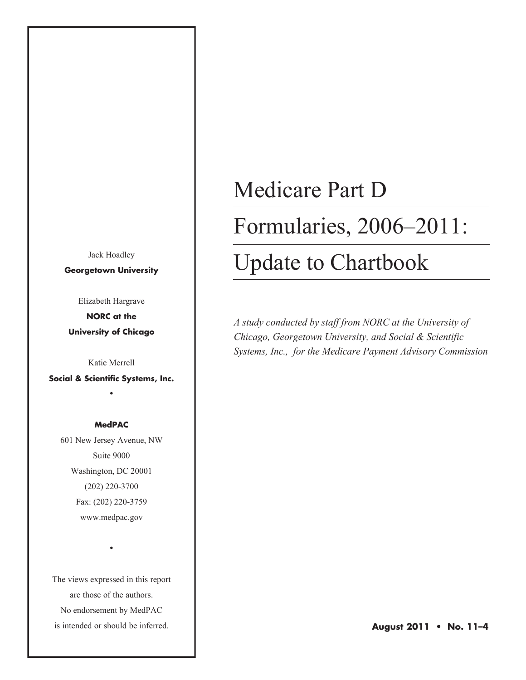Jack Hoadley **Georgetown University**

Elizabeth Hargrave

**NORC at the University of Chicago**

Katie Merrell

**Social & Scientific Systems, Inc.** •

#### **MedPAC**

601 New Jersey Avenue, NW Suite 9000 Washington, DC 20001 (202) 220-3700 Fax: (202) 220-3759 www.medpac.gov

The views expressed in this report are those of the authors. No endorsement by MedPAC is intended or should be inferred.

•

#### Medicare Part D

#### Formularies, 2006–2011:

### Update to Chartbook

*A study conducted by staff from NORC at the University of Chicago, Georgetown University, and Social & Scientific Systems, Inc., for the Medicare Payment Advisory Commission*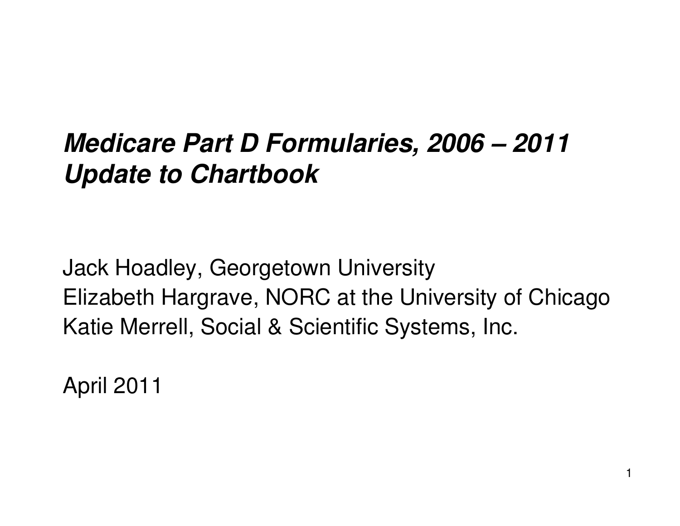## *Medicare Part D Formularies, 2006 – 2011 Update to Chartbook*

Jack Hoadley, Georgetown University Elizabeth Hargrave, NORC at the University of Chicago Katie Merrell, Social & Scientific Systems, Inc.

April 2011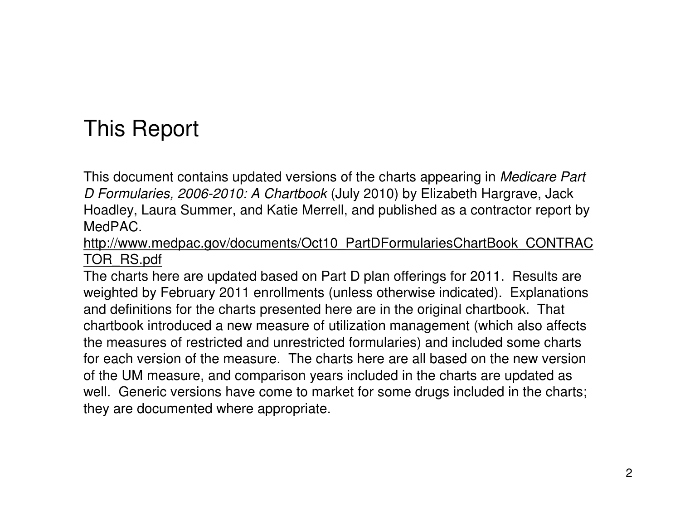### This Report

This document contains updated versions of the charts appearing in *Medicare Part D Formularies, 2006-2010: A Chartbook* (July 2010) by Elizabeth Hargrave, Jack Hoadley, Laura Summer, and Katie Merrell, and published as <sup>a</sup> contractor report by MedPAC.

http://www.medpac.gov/documents/Oct10\_PartDFormulariesChartBook\_CONTRAC <u>TOR\_RS.pdf</u> \_

The charts here are updated based on Part D plan offerings for 2011. Results are weighted by February 2011 enrollments (unless otherwise indicated). Explanations and definitions for the charts presented here are in the original chartbook. That chartbook introduced a new measure of utilization management (which also affects the measures of restricted and unrestricted formularies) and included some charts for each version of the measure. The charts here are all based on the new version of the UM measure, and comparison years included in the charts are updated as well. Generic versions have come to market for some drugs included in the charts; they are documented where appropriate.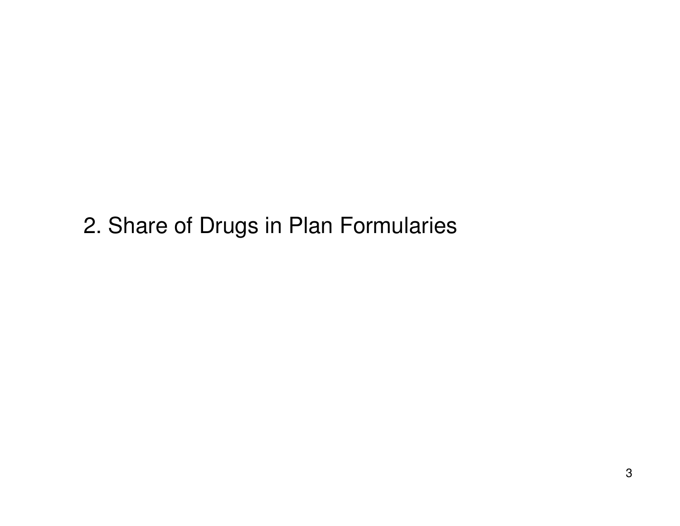2. Share of Drugs in Plan Formularies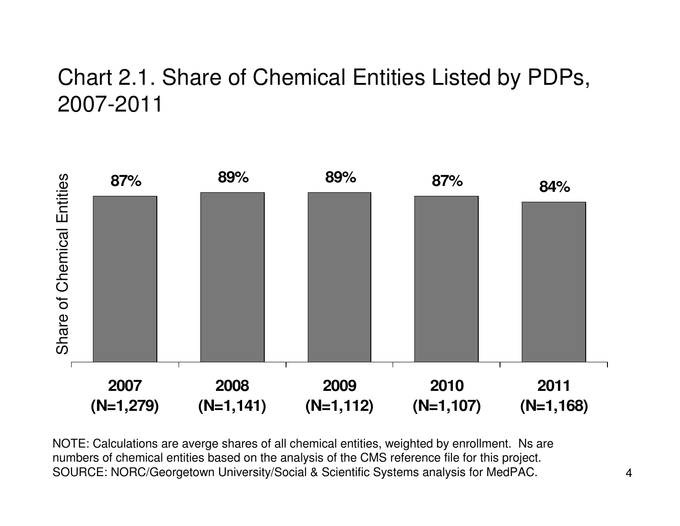#### Chart 2.1. Share of Chemical Entities Listed by PDPs, 2007-2011



NOTE: Calculations are averge shares of all chemical entities, weighted by enrollment. Ns are numbers of chemical entities based on the analysis of the CMS reference file for this project. SOURCE: NORC/Georgetown University/Social & Scientific Systems analysis for MedPAC.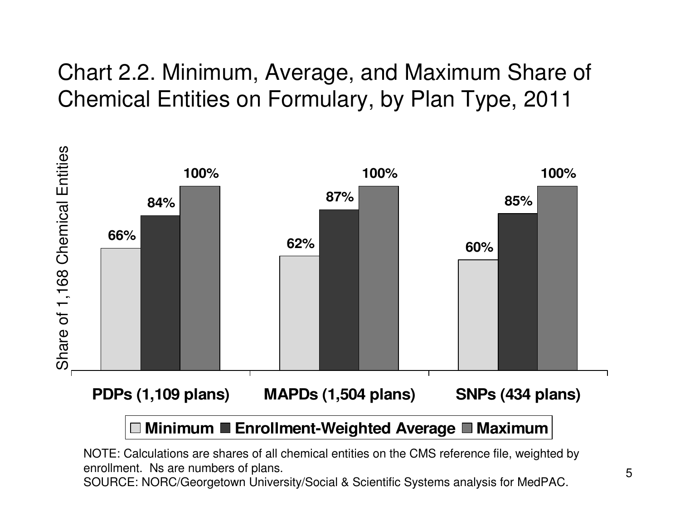#### Chart 2.2. Minimum, Average, and Maximum Share of Chemical Entities on Formulary, by Plan Type, 2011



### NOTE: Calculations are shares of all chemical entities on the CMS reference file, weighted by

enrollment. Ns are numbers of plans.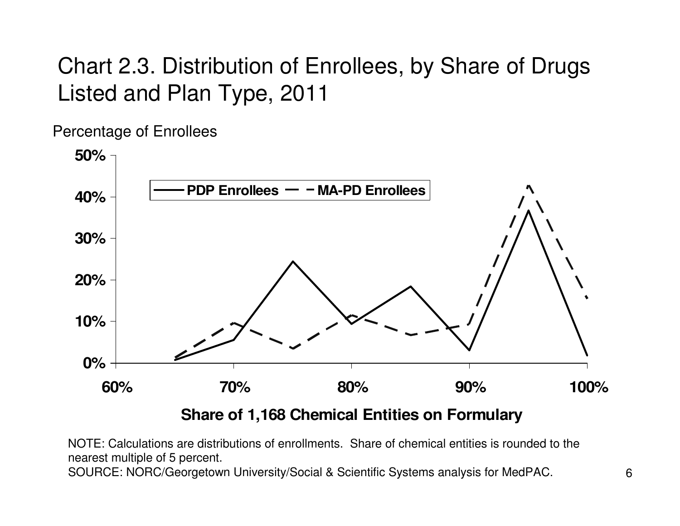### Chart 2.3. Distribution of Enrollees, by Share of Drugs Listed and Plan Type, 2011

Percentage of Enrollees



**Share of 1,168 Chemical Entities on Formulary**

NOTE: Calculations are distributions of enrollments. Share of chemical entities is rounded to the nearest multiple of 5 percent.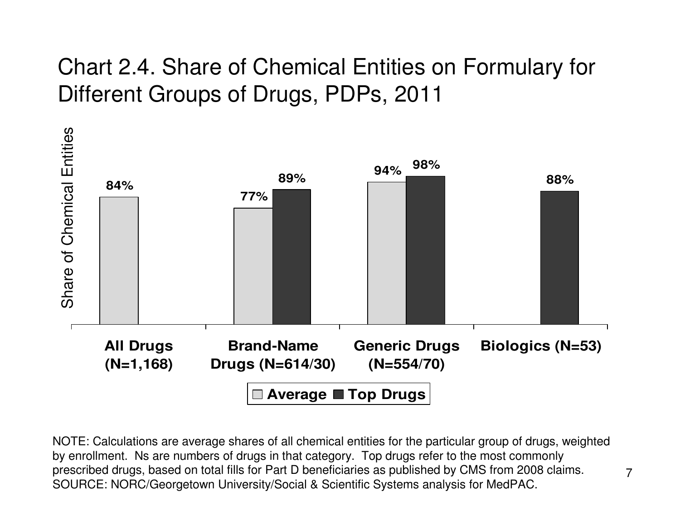### Chart 2.4. Share of Chemical Entities on Formulary for Different Groups of Drugs, PDPs, 2011



NOTE: Calculations are average shares of all chemical entities for the particular group of drugs, weighted by enrollment. Ns are numbers of drugs in that category. Top drugs refer to the most commonly prescribed drugs, based on total fills for Part D beneficiaries as published by CMS from 2008 claims. SOURCE: NORC/Georgetown University/Social & Scientific Systems analysis for MedPAC.

7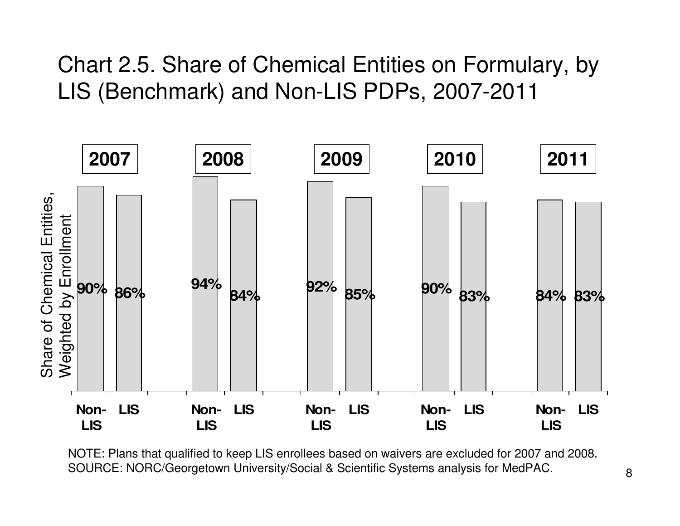#### Chart 2.5. Share of Chemical Entities on Formulary, by LIS (Benchmark) and Non-LIS PDPs, 2007-2011



NOTE: Plans that qualified to keep LIS enrollees based on waivers are excluded for 2007 and 2008. SOURCE: NORC/Georgetown University/Social & Scientific Systems analysis for MedPAC.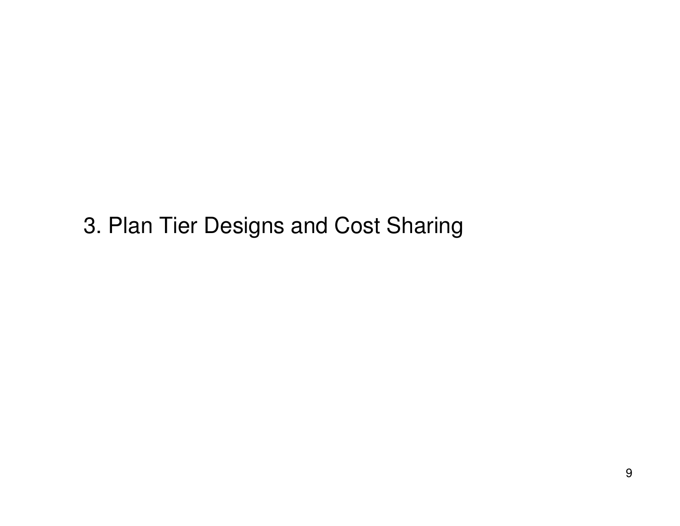3. Plan Tier Designs and Cost Sharing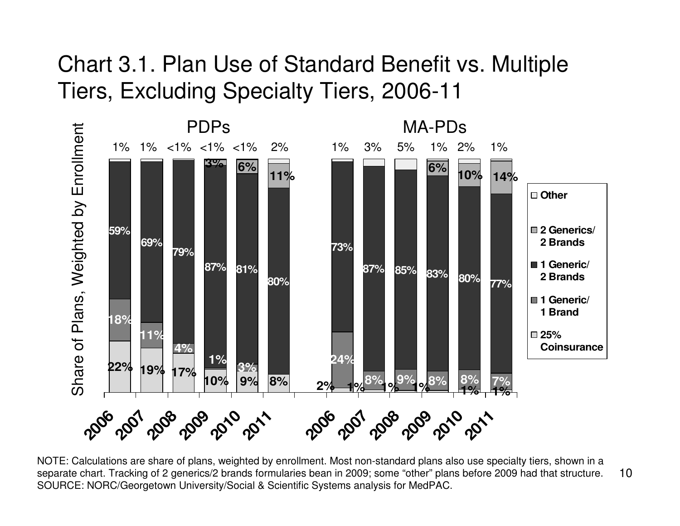#### Chart 3.1. Plan Use of Standard Benefit vs. Multiple Tiers, Excluding Specialty Tiers, 2006-11



10NOTE: Calculations are share of plans, weighted by enrollment. Most non-standard plans also use specialty tiers, shown in <sup>a</sup> separate chart. Tracking of 2 generics/2 brands formularies bean in 2009; some "other" plans before 2009 had that structure. SOURCE: NORC/Georgetown University/Social & Scientific Systems analysis for MedPAC.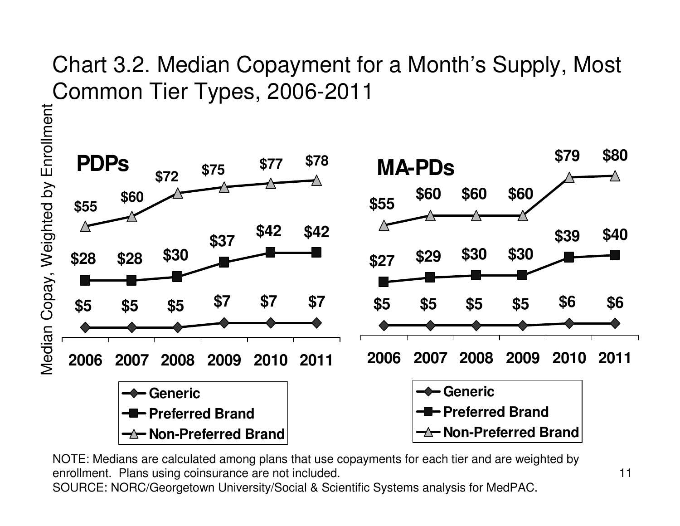#### Chart 3.2. Median Copayment for a Month's Supply, Most Common Tier Types, 2006-2011

Median Copay, Weighted by Enrollment Median Copay, Weighted by Enrollment



NOTE: Medians are calculated among plans that use copayments for each tier and are weighted by enrollment. Plans using coinsurance are not included.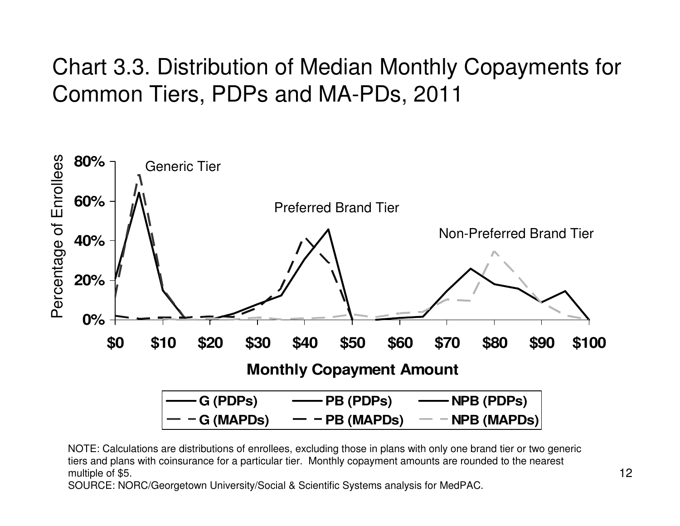### Chart 3.3. Distribution of Median Monthly Copayments for Common Tiers, PDPs and MA-PDs, 2011



NOTE: Calculations are distributions of enrollees, excluding those in plans with only one brand tier or two generic tiers and plans with coinsurance for <sup>a</sup> particular tier. Monthly copayment amounts are rounded to the nearest multiple of \$5.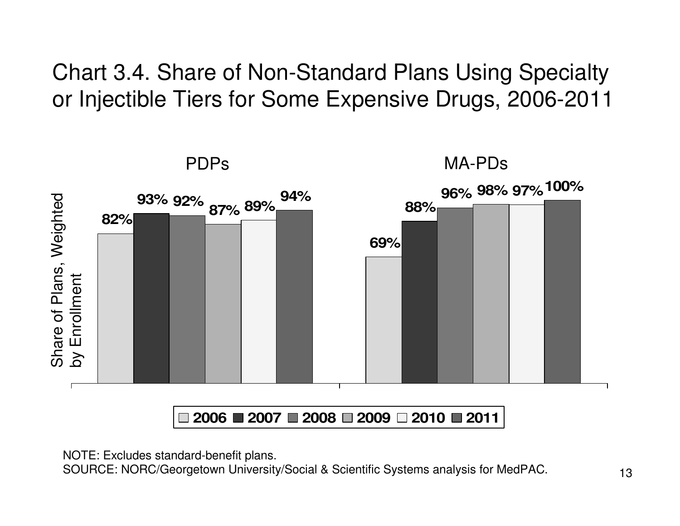Chart 3.4. Share of Non-Standard Plans Using Specialty or Injectible Tiers for Some Expensive Drugs, 2006-2011



**2006 2007 2008 2009 2010 2011**

NOTE: Excludes standard-benefit plans.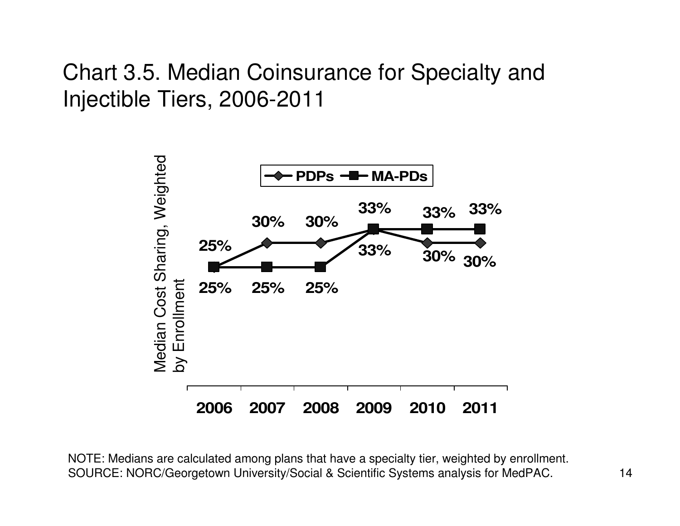#### Chart 3.5. Median Coinsurance for Specialty and Injectible Tiers, 2006-2011



NOTE: Medians are calculated among plans that have <sup>a</sup> specialty tier, weighted by enrollment. SOURCE: NORC/Georgetown University/Social & Scientific Systems analysis for MedPAC.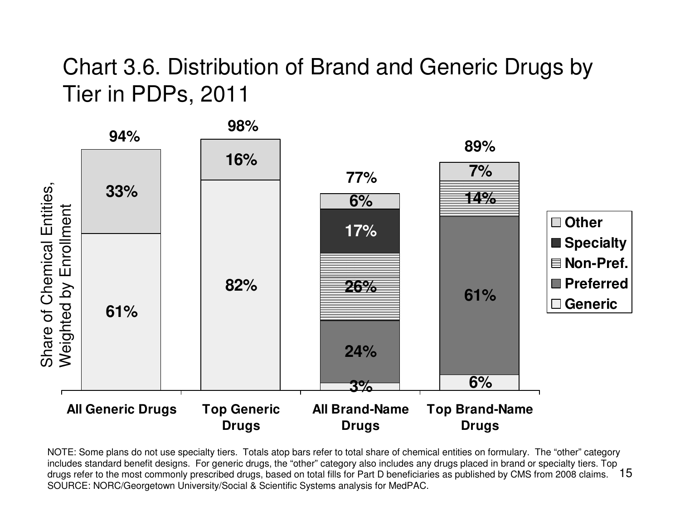#### Chart 3.6. Distribution of Brand and Generic Drugs by Tie r in P D P s, 2 0 1 1



15 dru g s refer to th e m o st c o m m o nly pre s crib e d dru g s, b a s e d o n total fills for P art D b e n eficiarie s a s p u blis h e d b y C M S fro m 2 0 0 8 claim s. NOTE: Some plans do not use specialty tiers. Totals atop bars refer to total share of chemical entities on formulary. The "other" category includes standard benefit designs. For generic drugs, the "other" category also includes any drugs placed in brand or specialty tiers. Top SOURCE: NORC/Georgetown University/Social & Scientific Systems analysis for MedPAC.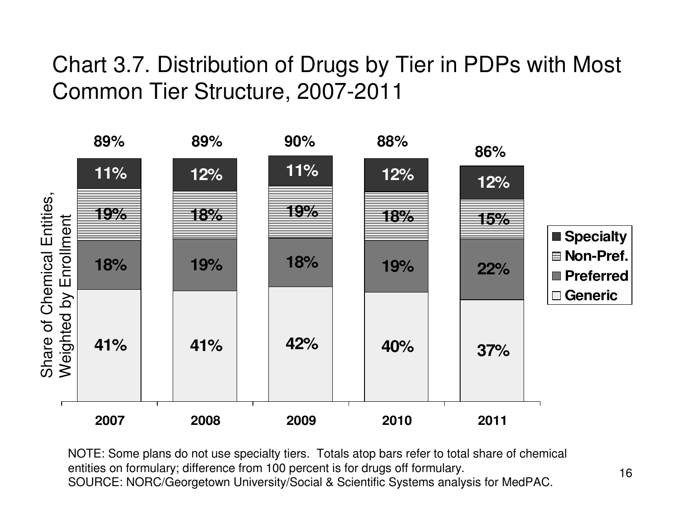### Chart 3.7. Distribution of Drugs by Tier in PDPs with Most Common Tier Structure, 2007-2011



NOTE: Some plans do not use specialty tiers. Totals atop bars refer to total share of chemical entities on formulary; difference from 100 percent is for drugs off formulary. SOURCE: NORC/Georgetown University/Social & Scientific Systems analysis for MedPAC.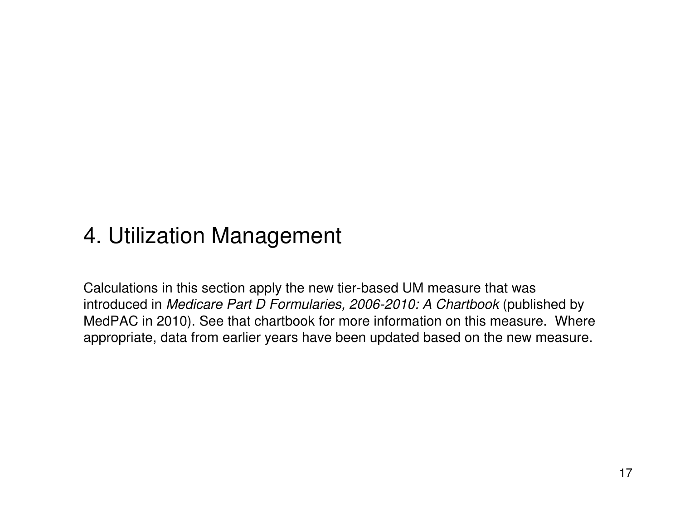#### 4. Utilization Management

Calculations in this section apply the new tier-based UM measure that was introduced in *Medicare Part D Formularies, 2006-2010: A Chartbook* (published by MedPAC in 2010). See that chartbook for more information on this measure. Where appropriate, data from earlier years have been updated based on the new measure.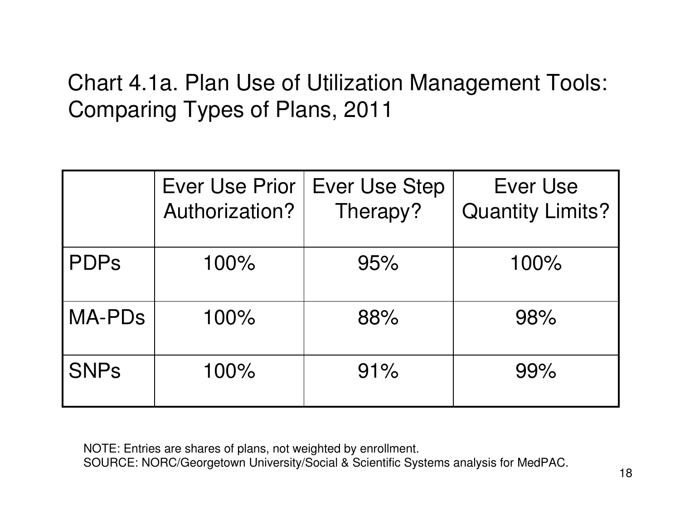### Chart 4.1a. Plan Use of Utilization Management Tools: Comparing Types of Plans, 2011

|               | <b>Ever Use Prior</b><br>Authorization? | <b>Ever Use Step</b><br>Therapy? | Ever Use<br><b>Quantity Limits?</b> |  |  |
|---------------|-----------------------------------------|----------------------------------|-------------------------------------|--|--|
| <b>PDPs</b>   | 100%                                    | 95%                              | 100%                                |  |  |
| <b>MA-PDs</b> | 100%                                    | 88%                              | 98%                                 |  |  |
| <b>SNPs</b>   | 100%                                    | 91%                              | 99%                                 |  |  |

NOTE: Entries are shares of plans, not weighted by enrollment.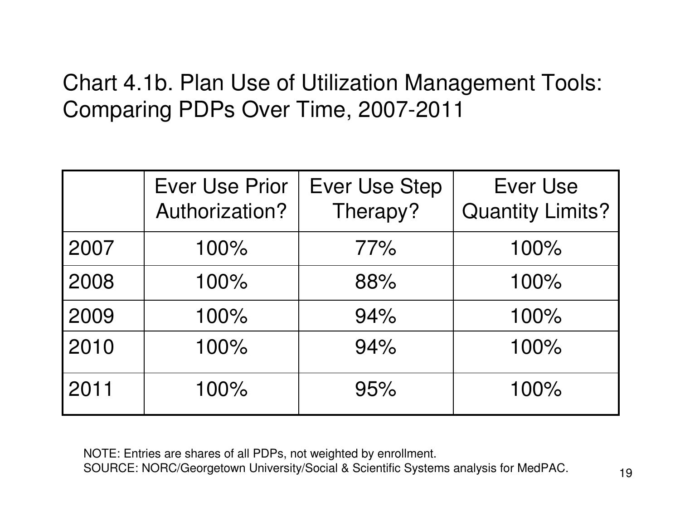### Chart 4.1b. Plan Use of Utilization Management Tools: Comparing PDPs Over Time, 2007-2011

|      | <b>Ever Use Prior</b><br>Authorization? | <b>Ever Use Step</b><br>Therapy? | <b>Ever Use</b><br><b>Quantity Limits?</b> |  |  |
|------|-----------------------------------------|----------------------------------|--------------------------------------------|--|--|
| 2007 | 100%                                    | 77%                              | 100%                                       |  |  |
| 2008 | 100%                                    | 88%                              | 100%                                       |  |  |
| 2009 | 100%                                    | 94%                              | 100%                                       |  |  |
| 2010 | 100%                                    | 94%                              | 100%                                       |  |  |
| 2011 | 100%                                    | 95%                              | 100%                                       |  |  |

NOTE: Entries are shares of all PDPs, not weighted by enrollment.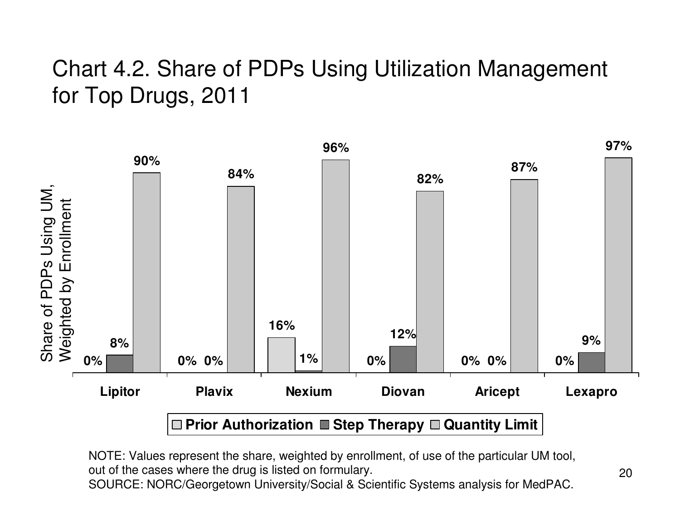#### Chart 4.2. Share of PDPs Using Utilization Management for Top Drugs, 2011



NOTE: Values represent the share, weighted by enrollment, of use of the particular UM tool, out of the cases where the drug is listed on formulary.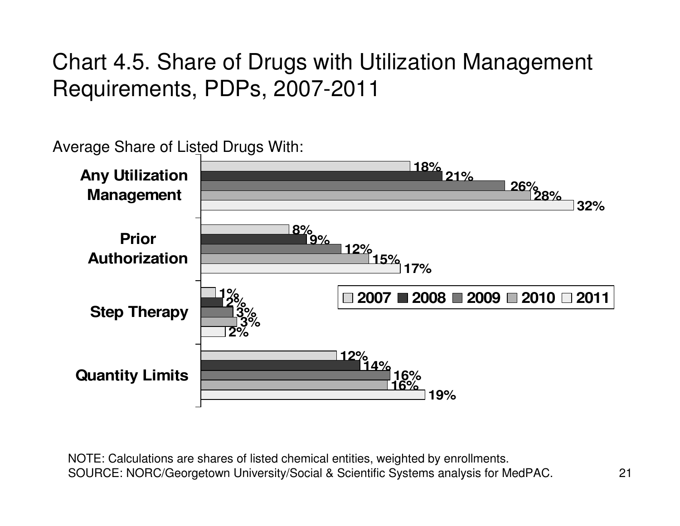### Chart 4.5. Share of Drugs with Utilization Management Requirements, PDPs, 2007-2011

#### **18% 21% 8% 9% 12% 15% 17% 1%12% 14% 2%3%16% 28% 3%16%32%2%19%26% Any Utilization Management PriorAuthorizationStep Therapy Quantity Limits 2007 2008 2009 2010 2011** Average Share of Listed Drugs With: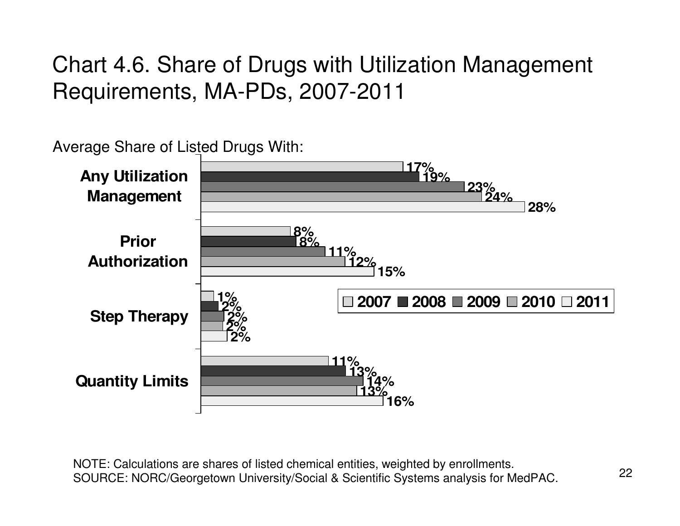### Chart 4.6. Share of Drugs with Utilization Management Requirements, MA-PDs, 2007-2011

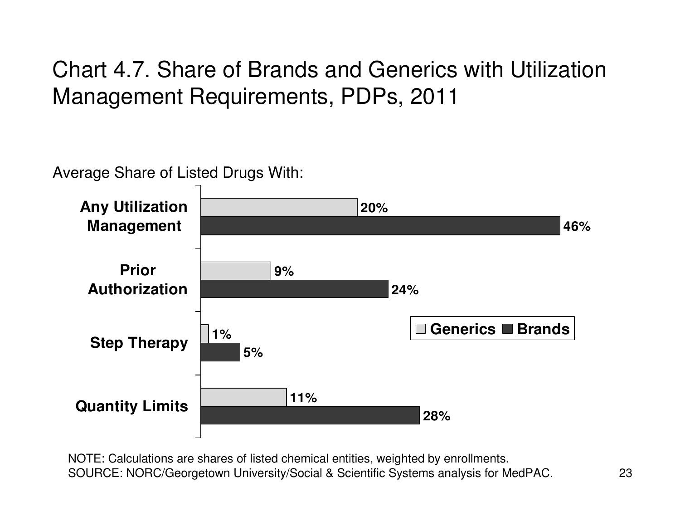Chart 4.7. Share of Brands and Generics with Utilization Management Requirements, PDPs, 2011

Average Share of Listed Drugs With:

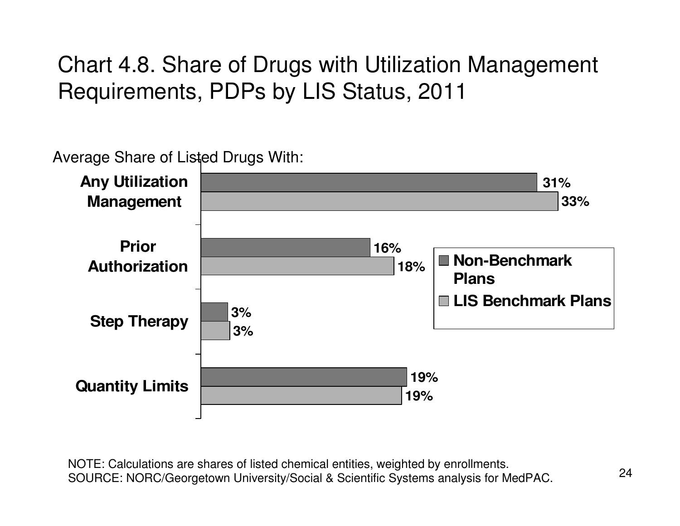Chart 4.8. Share of Drugs with Utilization Management Requirements, PDPs by LIS Status, 2011

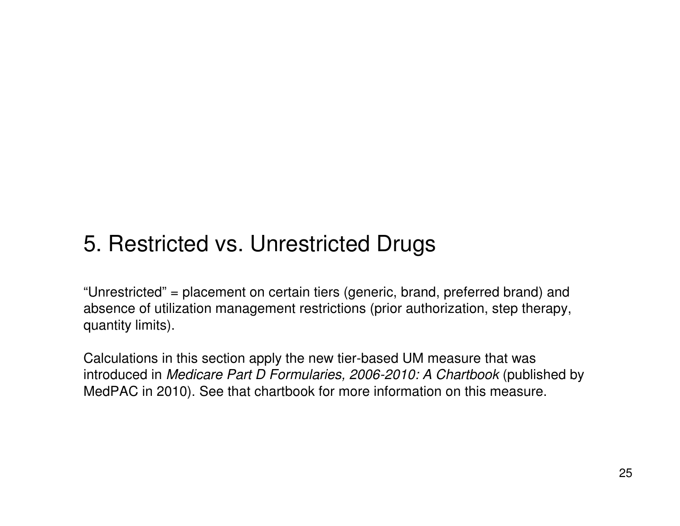#### 5. Restricted vs. Unrestricted Drugs

"Unrestricted" <sup>=</sup> placement on certain tiers (generic, brand, preferred brand) and absence of utilization management restrictions (prior authorization, step therapy, quantity limits).

Calculations in this section apply the new tier-based UM measure that was introduced in *Medicare Part D Formularies, 2006-2010: A Chartbook* (published by MedPAC in 2010). See that chartbook for more information on this measure.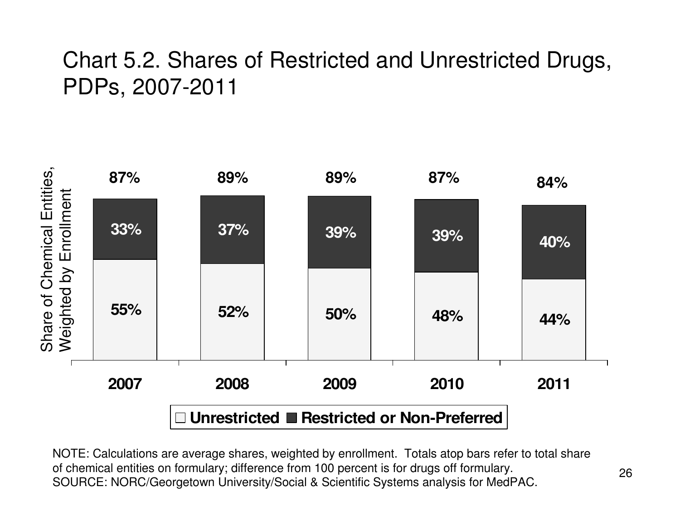#### Chart 5.2. Shares of Restricted and Unrestricted Drugs, PDPs, 2007-2011

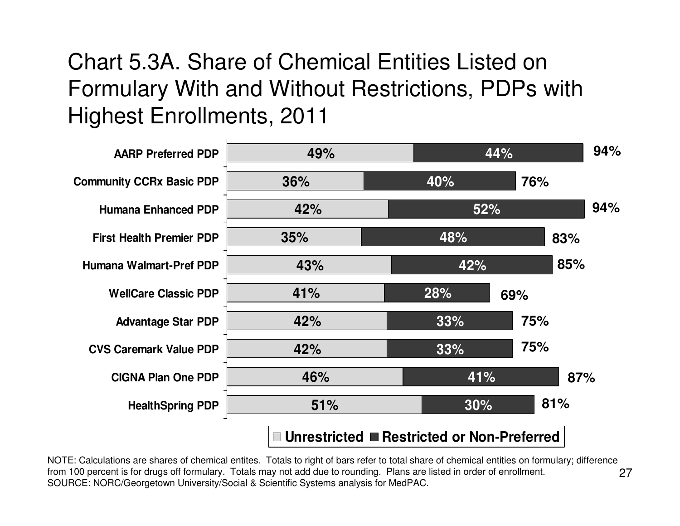### Chart 5.3A. Share of Chemical Entities Listed on Formulary With and Without Restrictions, PDPs with Highest Enrollments, 2011



27NOTE: Calculations are shares of chemical entites. Totals to right of bars refer to total share of chemical entities on formulary; difference from 100 percent is for drugs off formulary. Totals may not add due to rounding. Plans are listed in order of enrollment. SOURCE: NORC/Georgetown University/Social & Scientific Systems analysis for MedPAC.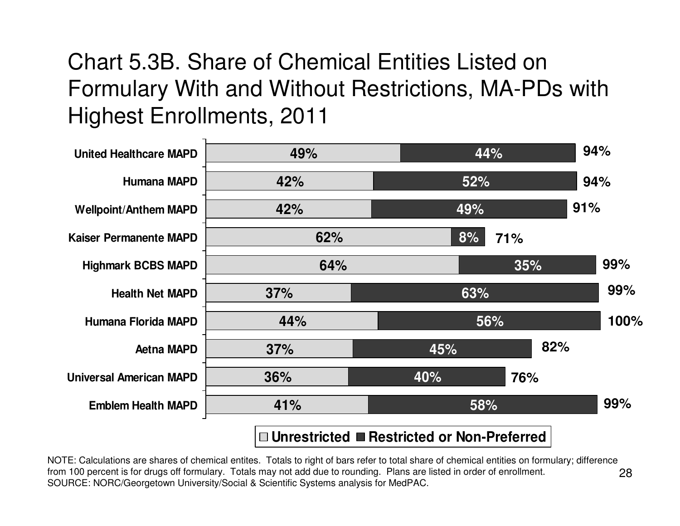### Chart 5.3B. Share of Chemical Entities Listed on Formulary With and Without Restrictions, MA-PDs with Highest Enrollments, 2011



28NOTE: Calculations are shares of chemical entites. Totals to right of bars refer to total share of chemical entities on formulary; difference from 100 percent is for drugs off formulary. Totals may not add due to rounding. Plans are listed in order of enrollment. SOURCE: NORC/Georgetown University/Social & Scientific Systems analysis for MedPAC.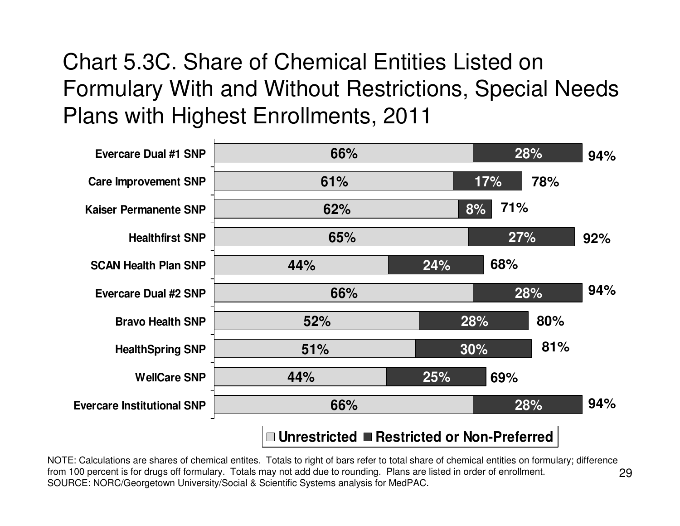### Chart 5.3C. Share of Chemical Entities Listed on Formulary With and Without Restrictions, Special Needs Plans with Highest Enrollments, 2011



29NOTE: Calculations are shares of chemical entites. Totals to right of bars refer to total share of chemical entities on formulary; difference from 100 percent is for drugs off formulary. Totals may not add due to rounding. Plans are listed in order of enrollment. SOURCE: NORC/Georgetown University/Social & Scientific Systems analysis for MedPAC.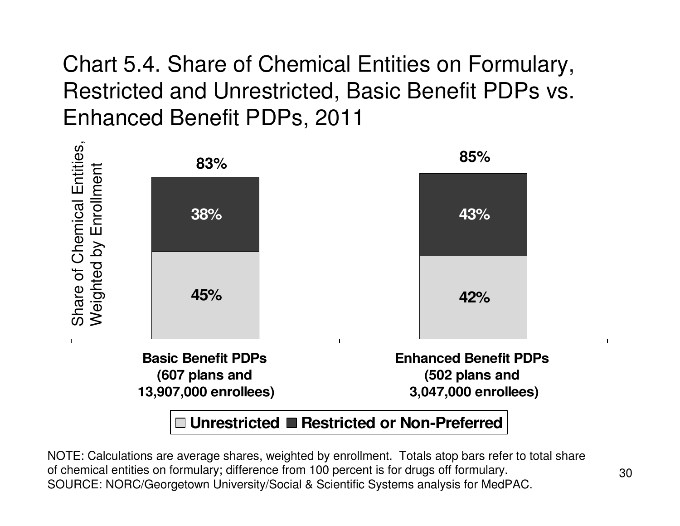Chart 5.4. Share of Chemical Entities on Formulary, Restricted and Unrestricted, Basic Benefit PDPs vs. Enhanced Benefit PDPs, 2011

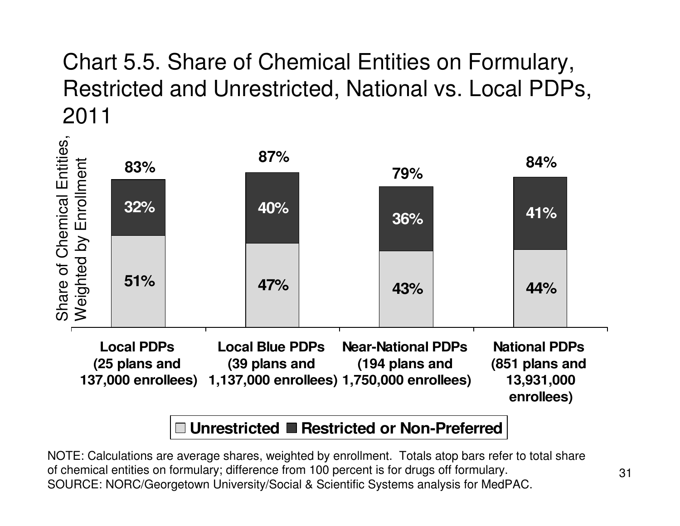### Chart 5.5. Share of Chemical Entities on Formulary, Restricted and Unrestricted, National vs. Local PDPs, 2011

ທົ

|                                                     | 83%                                | 87%                                     |  | 79%                                         |  | 84%                                    |  |
|-----------------------------------------------------|------------------------------------|-----------------------------------------|--|---------------------------------------------|--|----------------------------------------|--|
|                                                     | 32%                                | 40%                                     |  | 36%                                         |  | 41%                                    |  |
| Share of Chemical Entitie<br>Weighted by Enrollment | 51%                                | 47%                                     |  | 43%                                         |  | 44%                                    |  |
|                                                     | <b>Local PDPs</b><br>(25 plans and | <b>Local Blue PDPs</b><br>(39 plans and |  | <b>Near-National PDPs</b><br>(194 plans and |  | <b>National PDPs</b><br>(851 plans and |  |

**137,000 enrollees) 1,137,000 enrollees) 1,750,000 enrollees) 13,931,000 enrollees)**

#### **Unrestricted Restricted or Non-Preferred**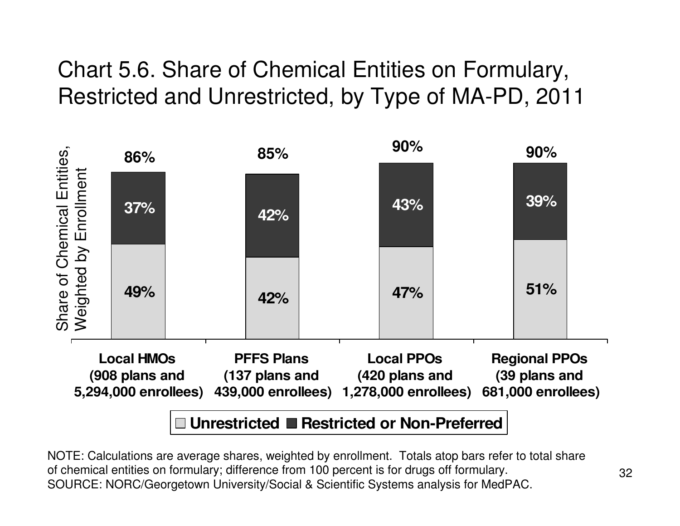### Chart 5.6. Share of Chemical Entities on Formulary, Restricted and Unrestricted, by Type of MA-PD, 2011

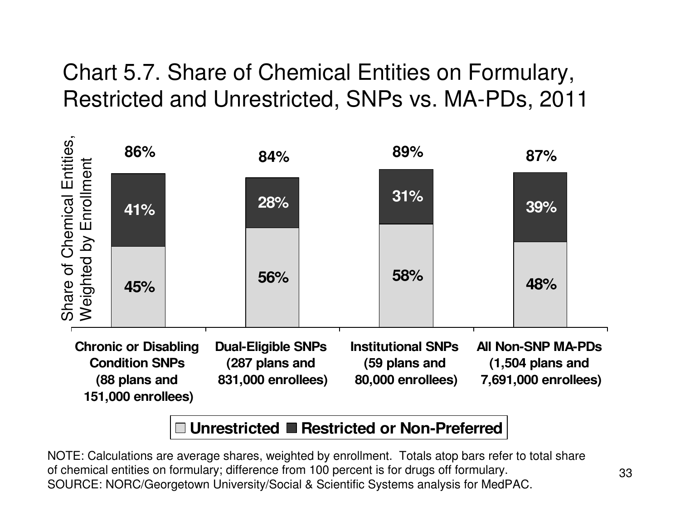### Chart 5.7. Share of Chemical Entities on Formulary, Restricted and Unrestricted, SNPs vs. MA-PDs, 2011



#### **Unrestricted Restricted or Non-Preferred**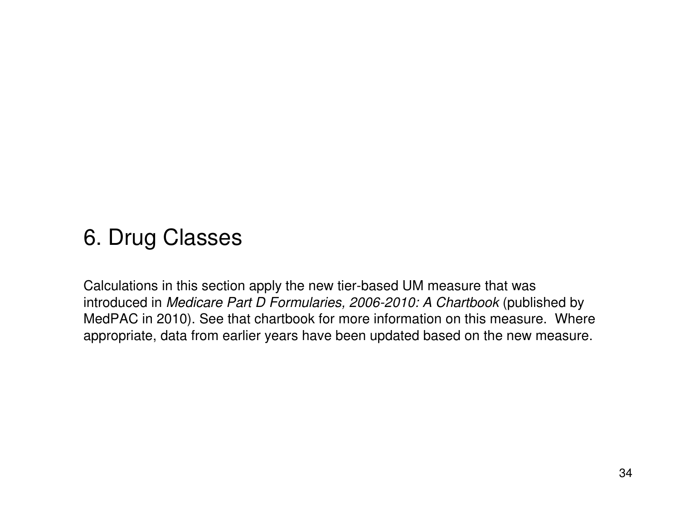#### 6. Drug Classes

Calculations in this section apply the new tier-based UM measure that was introduced in *Medicare Part D Formularies, 2006-2010: A Chartbook* (published by MedPAC in 2010). See that chartbook for more information on this measure. Where appropriate, data from earlier years have been updated based on the new measure.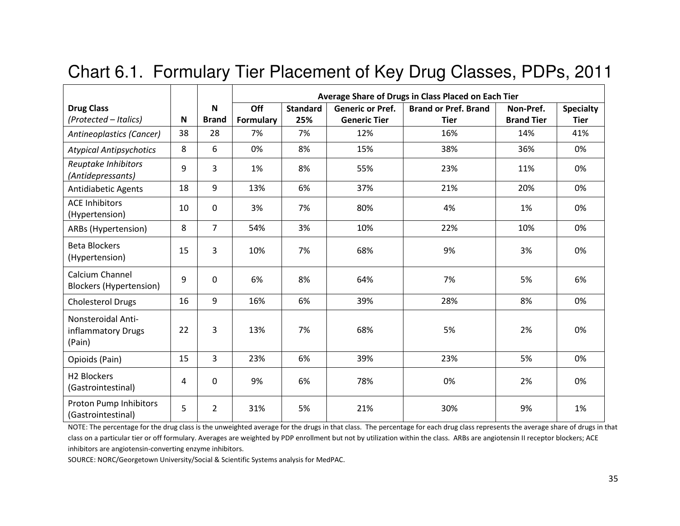|                                                                                                                                                                                                                                                                                                                                                                                                                                                                                                                    |                           |                                    |                         |                        |                                                | Average Share of Drugs in Class Placed on Each Tier |                                |                                 |
|--------------------------------------------------------------------------------------------------------------------------------------------------------------------------------------------------------------------------------------------------------------------------------------------------------------------------------------------------------------------------------------------------------------------------------------------------------------------------------------------------------------------|---------------------------|------------------------------------|-------------------------|------------------------|------------------------------------------------|-----------------------------------------------------|--------------------------------|---------------------------------|
| <b>Drug Class</b><br>(Protected - Italics)                                                                                                                                                                                                                                                                                                                                                                                                                                                                         | $\boldsymbol{\mathsf{N}}$ | $\boldsymbol{\mathsf{N}}$<br>Brand | Off<br><b>Formulary</b> | <b>Standard</b><br>25% | <b>Generic or Pref.</b><br><b>Generic Tier</b> | <b>Brand or Pref. Brand</b><br><b>Tier</b>          | Non-Pref.<br><b>Brand Tier</b> | <b>Specialty</b><br><b>Tier</b> |
| Antineoplastics (Cancer)                                                                                                                                                                                                                                                                                                                                                                                                                                                                                           | 38                        | 28                                 | 7%                      | 7%                     | 12%                                            | 16%                                                 | 14%                            | 41%                             |
| <b>Atypical Antipsychotics</b>                                                                                                                                                                                                                                                                                                                                                                                                                                                                                     | 8                         | 6                                  | 0%                      | 8%                     | 15%                                            | 38%                                                 | 36%                            | 0%                              |
| Reuptake Inhibitors<br>(Antidepressants)                                                                                                                                                                                                                                                                                                                                                                                                                                                                           | 9                         | 3                                  | 1%                      | 8%                     | 55%                                            | 23%                                                 | 11%                            | 0%                              |
| <b>Antidiabetic Agents</b>                                                                                                                                                                                                                                                                                                                                                                                                                                                                                         | 18                        | 9                                  | 13%                     | 6%                     | 37%                                            | 21%                                                 | 20%                            | 0%                              |
| <b>ACE Inhibitors</b><br>(Hypertension)                                                                                                                                                                                                                                                                                                                                                                                                                                                                            | 10                        | $\mathbf 0$                        | 3%                      | 7%                     | 80%                                            | 4%                                                  | 1%                             | 0%                              |
| ARBs (Hypertension)                                                                                                                                                                                                                                                                                                                                                                                                                                                                                                | 8                         | $\overline{7}$                     | 54%                     | 3%                     | 10%                                            | 22%                                                 | 10%                            | 0%                              |
| <b>Beta Blockers</b><br>(Hypertension)                                                                                                                                                                                                                                                                                                                                                                                                                                                                             | 15                        | 3                                  | 10%                     | 7%                     | 68%                                            | 9%                                                  | 3%                             | 0%                              |
| Calcium Channel<br><b>Blockers (Hypertension)</b>                                                                                                                                                                                                                                                                                                                                                                                                                                                                  | 9                         | $\pmb{0}$                          | 6%                      | 8%                     | 64%                                            | 7%                                                  | 5%                             | 6%                              |
| <b>Cholesterol Drugs</b>                                                                                                                                                                                                                                                                                                                                                                                                                                                                                           | 16                        | 9                                  | 16%                     | 6%                     | 39%                                            | 28%                                                 | 8%                             | 0%                              |
| Nonsteroidal Anti-<br>inflammatory Drugs<br>(Pain)                                                                                                                                                                                                                                                                                                                                                                                                                                                                 | 22                        | 3                                  | 13%                     | 7%                     | 68%                                            | 5%                                                  | 2%                             | 0%                              |
| Opioids (Pain)                                                                                                                                                                                                                                                                                                                                                                                                                                                                                                     | 15                        | $\overline{3}$                     | 23%                     | 6%                     | 39%                                            | 23%                                                 | 5%                             | 0%                              |
| <b>H2 Blockers</b><br>(Gastrointestinal)                                                                                                                                                                                                                                                                                                                                                                                                                                                                           | 4                         | $\mathbf 0$                        | 9%                      | 6%                     | 78%                                            | 0%                                                  | 2%                             | 0%                              |
| Proton Pump Inhibitors<br>(Gastrointestinal)                                                                                                                                                                                                                                                                                                                                                                                                                                                                       | 5                         | $\overline{2}$                     | 31%                     | 5%                     | 21%                                            | 30%                                                 | 9%                             | 1%                              |
| NOTE: The percentage for the drug class is the unweighted average for the drugs in that class. The percentage for each drug class represents the average share of drugs in that<br>class on a particular tier or off formulary. Averages are weighted by PDP enrollment but not by utilization within the class. ARBs are angiotensin II receptor blockers; ACE<br>inhibitors are angiotensin-converting enzyme inhibitors.<br>SOURCE: NORC/Georgetown University/Social & Scientific Systems analysis for MedPAC. |                           |                                    |                         |                        |                                                |                                                     |                                |                                 |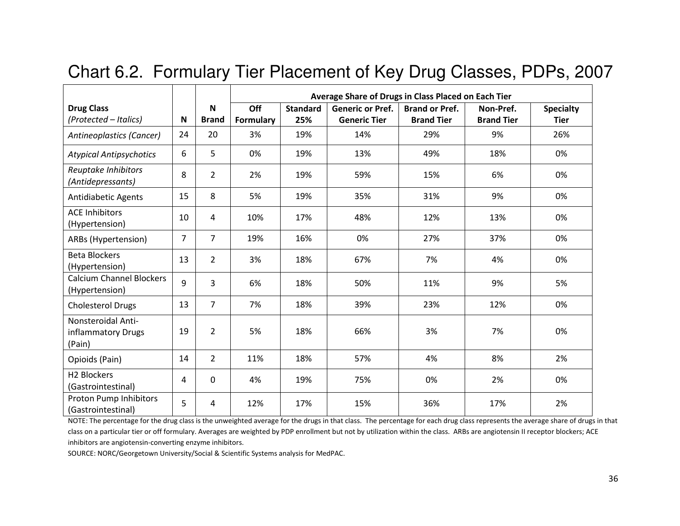|                                                    |    |                   | Average Share of Drugs in Class Placed on Each Tier |                        |                                                |                                            |                                |                                 |  |  |  |
|----------------------------------------------------|----|-------------------|-----------------------------------------------------|------------------------|------------------------------------------------|--------------------------------------------|--------------------------------|---------------------------------|--|--|--|
| <b>Drug Class</b><br>(Protected - Italics)         | N  | N<br><b>Brand</b> | Off<br><b>Formulary</b>                             | <b>Standard</b><br>25% | <b>Generic or Pref.</b><br><b>Generic Tier</b> | <b>Brand or Pref.</b><br><b>Brand Tier</b> | Non-Pref.<br><b>Brand Tier</b> | <b>Specialty</b><br><b>Tier</b> |  |  |  |
| <b>Antineoplastics (Cancer)</b>                    | 24 | 20                | 3%                                                  | 19%                    | 14%                                            | 29%                                        | 9%                             | 26%                             |  |  |  |
| <b>Atypical Antipsychotics</b>                     | 6  | 5                 | 0%                                                  | 19%                    | 13%                                            | 49%                                        | 18%                            | 0%                              |  |  |  |
| Reuptake Inhibitors<br>(Antidepressants)           | 8  | $\overline{2}$    | 2%                                                  | 19%                    | 59%                                            | 15%                                        | 6%                             | 0%                              |  |  |  |
| <b>Antidiabetic Agents</b>                         | 15 | 8                 | 5%                                                  | 19%                    | 35%                                            | 31%                                        | 9%                             | 0%                              |  |  |  |
| <b>ACE Inhibitors</b><br>(Hypertension)            | 10 | 4                 | 10%                                                 | 17%                    | 48%                                            | 12%                                        | 13%                            | 0%                              |  |  |  |
| ARBs (Hypertension)                                | 7  | $\overline{7}$    | 19%                                                 | 16%                    | 0%                                             | 27%                                        | 37%                            | 0%                              |  |  |  |
| <b>Beta Blockers</b><br>(Hypertension)             | 13 | $\overline{2}$    | 3%                                                  | 18%                    | 67%                                            | 7%                                         | 4%                             | 0%                              |  |  |  |
| <b>Calcium Channel Blockers</b><br>(Hypertension)  | 9  | 3                 | 6%                                                  | 18%                    | 50%                                            | 11%                                        | 9%                             | 5%                              |  |  |  |
| <b>Cholesterol Drugs</b>                           | 13 | $\overline{7}$    | 7%                                                  | 18%                    | 39%                                            | 23%                                        | 12%                            | 0%                              |  |  |  |
| Nonsteroidal Anti-<br>inflammatory Drugs<br>(Pain) | 19 | 2                 | 5%                                                  | 18%                    | 66%                                            | 3%                                         | 7%                             | 0%                              |  |  |  |
| Opioids (Pain)                                     | 14 | $\overline{2}$    | 11%                                                 | 18%                    | 57%                                            | 4%                                         | 8%                             | 2%                              |  |  |  |
| H <sub>2</sub> Blockers<br>(Gastrointestinal)      | 4  | $\Omega$          | 4%                                                  | 19%                    | 75%                                            | 0%                                         | 2%                             | 0%                              |  |  |  |
| Proton Pump Inhibitors<br>(Gastrointestinal)       | 5  | 4                 | 12%                                                 | 17%                    | 15%                                            | 36%                                        | 17%                            | 2%                              |  |  |  |

#### Chart 6.2. Formulary Tier Placement of Key Drug Classes, PDPs, 2007

NOTE: The percentage for the drug class is the unweighted average for the drugs in that class. The percentage for each drug class represents the average share of drugs in that class on a particular tier or off formulary. Averages are weighted by PDP enrollment but not by utilization within the class. ARBs are angiotensin II receptor blockers; ACE inhibitors are angiotensin-converting enzyme inhibitors.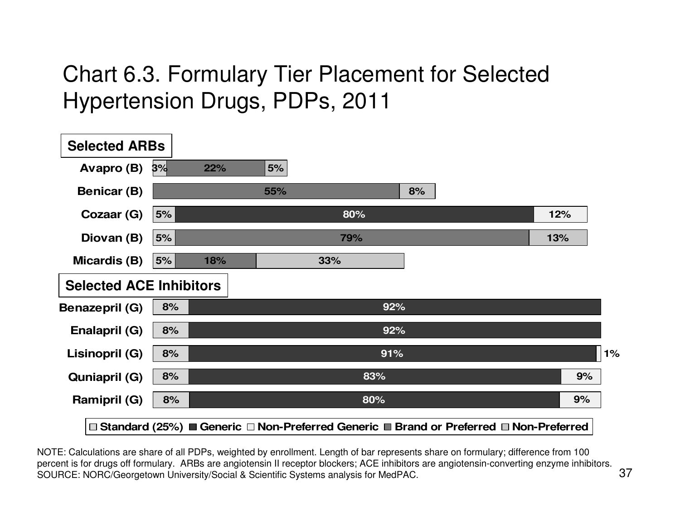### Chart 6.3. Formulary Tier Placement for Selected Hypertension Drugs, PDPs, 2011

| <b>Selected ARBs</b>           |    |     |     |     |     |                                                                                         |    |
|--------------------------------|----|-----|-----|-----|-----|-----------------------------------------------------------------------------------------|----|
| Avapro (B)                     | 3% | 22% | 5%  |     |     |                                                                                         |    |
| <b>Benicar (B)</b>             |    |     | 55% |     | 8%  |                                                                                         |    |
| Cozaar (G)                     | 5% |     |     | 80% |     | 12%                                                                                     |    |
| Diovan (B)                     | 5% |     |     | 79% |     | 13%                                                                                     |    |
| Micardis (B)                   | 5% | 18% |     | 33% |     |                                                                                         |    |
| <b>Selected ACE Inhibitors</b> |    |     |     |     |     |                                                                                         |    |
| <b>Benazepril (G)</b>          | 8% |     |     |     | 92% |                                                                                         |    |
| Enalapril (G)                  | 8% |     |     |     | 92% |                                                                                         |    |
| Lisinopril (G)                 | 8% |     |     |     | 91% |                                                                                         | 1% |
| <b>Quniapril (G)</b>           | 8% |     |     |     | 83% |                                                                                         | 9% |
| <b>Ramipril (G)</b>            | 8% |     |     |     | 80% |                                                                                         | 9% |
|                                |    |     |     |     |     | □ Standard (25%) ■ Generic □ Non-Preferred Generic ■ Brand or Preferred □ Non-Preferred |    |

NOTE: Calculations are share of all PDPs, weighted by enrollment. Length of bar represents share on formulary; difference from 100 percent is for drugs off formulary. ARBs are angiotensin II receptor blockers; ACE inhibitors are angiotensin-converting enzyme inhibitors. SOURCE: NORC/Georgetown University/Social & Scientific Systems analysis for MedPAC.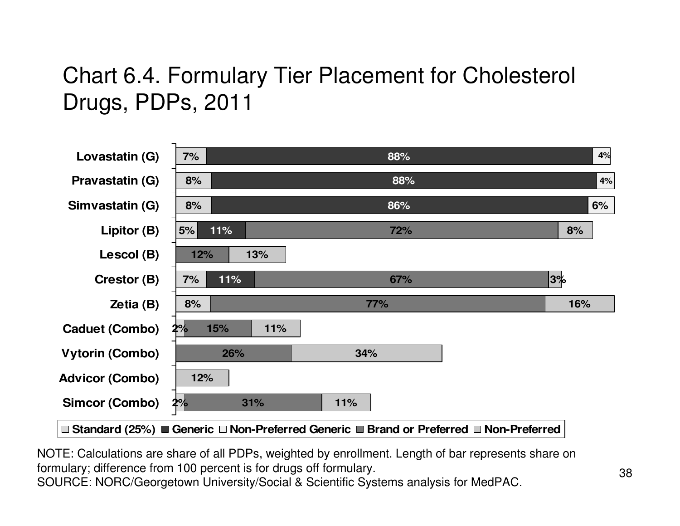### Chart 6.4. Formulary Tier Placement for Cholesterol Drugs, PDPs, 2011

| Lovastatin (G)         | 7%               | 88%        | 4%  |
|------------------------|------------------|------------|-----|
| <b>Pravastatin (G)</b> | 8%               | 88%        | 4%  |
| Simvastatin (G)        | 8%               | 86%        | 6%  |
| Lipitor (B)            | 11%<br>5%        | <b>72%</b> | 8%  |
| Lescol (B)             | 13%<br>12%       |            |     |
| Crestor (B)            | 11%<br>7%        | 67%        | 3%  |
|                        |                  |            |     |
| Zetia (B)              | 8%               | 77%        | 16% |
| <b>Caduet (Combo)</b>  | 15%<br>11%<br>2% |            |     |
| <b>Vytorin (Combo)</b> | 26%              | 34%        |     |
| <b>Advicor (Combo)</b> | 12%              |            |     |
| <b>Simcor (Combo)</b>  | 2%<br>31%        | 11%        |     |

NOTE: Calculations are share of all PDPs, weighted by enrollment. Length of bar represents share on formulary; difference from 100 percent is for drugs off formulary. SOURCE: NORC/Georgetown University/Social & Scientific Systems analysis for MedPAC.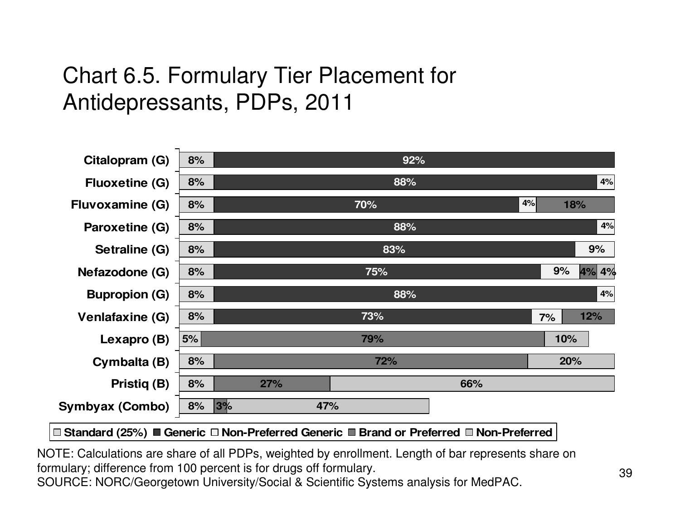### Chart 6.5. Formulary Tier Placement for Antidepressants, PDPs, 2011

| Citalopram (G)         | 8% | 92%        |    |     |       |
|------------------------|----|------------|----|-----|-------|
| <b>Fluoxetine (G)</b>  | 8% | 88%        |    |     | 4%    |
| <b>Fluvoxamine (G)</b> | 8% | 70%        | 4% | 18% |       |
| Paroxetine (G)         | 8% | 88%        |    |     | 4%    |
| Setraline (G)          | 8% | 83%        |    |     | 9%    |
| Nefazodone (G)         | 8% | 75%        |    | 9%  | 4% 4% |
| <b>Bupropion (G)</b>   | 8% | 88%        |    |     | 4%    |
| Venlafaxine (G)        | 8% | 73%        |    | 7%  | 12%   |
| Lexapro (B)            | 5% | 79%        |    | 10% |       |
| Cymbalta (B)           | 8% | 72%        |    | 20% |       |
| Pristiq (B)            | 8% | 27%<br>66% |    |     |       |
| Symbyax (Combo)        | 8% | 3%<br>47%  |    |     |       |
|                        |    |            |    |     |       |

**Standard (25%) Generic Non-Preferred Generic Brand or Preferred Non-Preferred**

NOTE: Calculations are share of all PDPs, weighted by enrollment. Length of bar represents share on formulary; difference from 100 percent is for drugs off formulary. SOURCE: NORC/Georgetown University/Social & Scientific Systems analysis for MedPAC.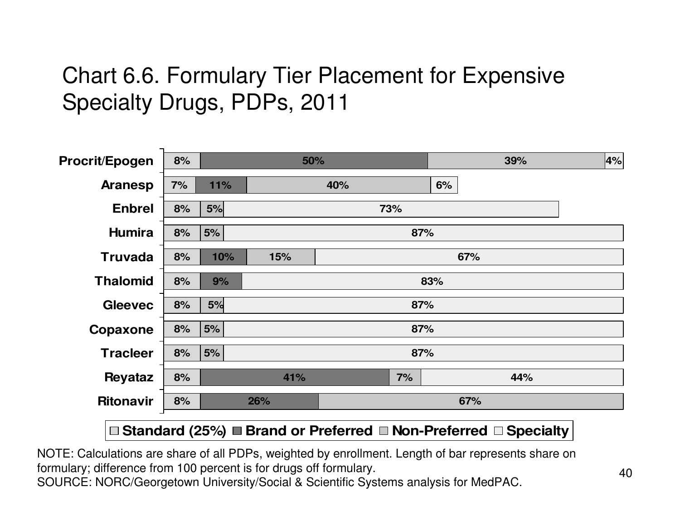#### Chart 6.6. Formulary Tier Placement for Expensive Specialty Drugs, PDPs, 2011

| Procrit/Epogen   | 8%                   |         | 50% |     |     |    | 39% | $ 4\% $ |  |  |
|------------------|----------------------|---------|-----|-----|-----|----|-----|---------|--|--|
| <b>Aranesp</b>   | 7%                   | 11%     |     | 40% |     | 6% |     |         |  |  |
| <b>Enbrel</b>    | 8%                   | 5%      | 73% |     |     |    |     |         |  |  |
| <b>Humira</b>    | 8%                   | 5%      |     |     | 87% |    |     |         |  |  |
| <b>Truvada</b>   | 8%                   | 10%     | 15% |     |     |    | 67% |         |  |  |
| <b>Thalomid</b>  | 8%                   | 9%      | 83% |     |     |    |     |         |  |  |
| <b>Gleevec</b>   | 8%                   | 5%      |     |     | 87% |    |     |         |  |  |
| Copaxone         | 8%                   | 5%      |     |     | 87% |    |     |         |  |  |
| <b>Tracleer</b>  | 8%                   | 5%      |     |     | 87% |    |     |         |  |  |
| <b>Reyataz</b>   | 8%                   |         | 41% |     | 7%  |    | 44% |         |  |  |
| <b>Ritonavir</b> | 8%                   |         | 26% |     |     |    | 67% |         |  |  |
|                  | $\sim$ $\sim$ $\sim$ | $- - -$ |     | .   |     |    | .   |         |  |  |

#### **Standard (25%) Brand or Preferred Non-Preferred Specialty**

NOTE: Calculations are share of all PDPs, weighted by enrollment. Length of bar represents share on formulary; difference from 100 percent is for drugs off formulary.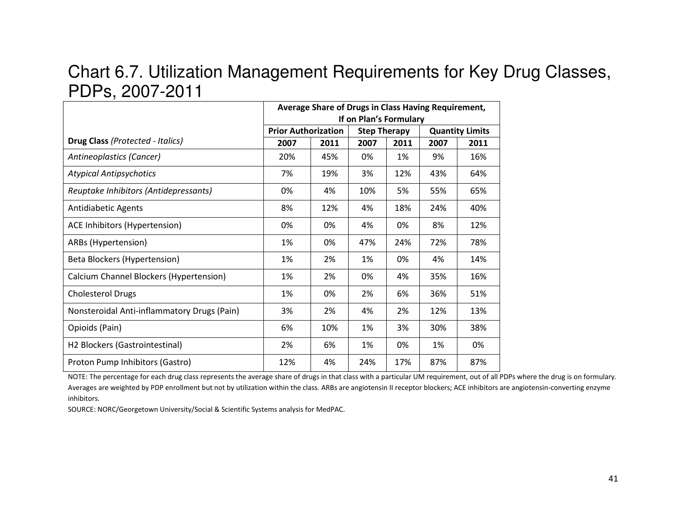# PDPs, 2007-2011

|                                                                                                                                                                                                                                                                                                                                                                                                                                                                      |                            | Average Share of Drugs in Class Having Requirement, |                        |      |      |                        |
|----------------------------------------------------------------------------------------------------------------------------------------------------------------------------------------------------------------------------------------------------------------------------------------------------------------------------------------------------------------------------------------------------------------------------------------------------------------------|----------------------------|-----------------------------------------------------|------------------------|------|------|------------------------|
|                                                                                                                                                                                                                                                                                                                                                                                                                                                                      |                            |                                                     | If on Plan's Formulary |      |      |                        |
|                                                                                                                                                                                                                                                                                                                                                                                                                                                                      | <b>Prior Authorization</b> |                                                     | <b>Step Therapy</b>    |      |      | <b>Quantity Limits</b> |
| Drug Class (Protected - Italics)                                                                                                                                                                                                                                                                                                                                                                                                                                     | 2007                       | 2011                                                | 2007                   | 2011 | 2007 | 2011                   |
| Antineoplastics (Cancer)                                                                                                                                                                                                                                                                                                                                                                                                                                             | 20%                        | 45%                                                 | 0%                     | 1%   | 9%   | 16%                    |
| <b>Atypical Antipsychotics</b>                                                                                                                                                                                                                                                                                                                                                                                                                                       | 7%                         | 19%                                                 | 3%                     | 12%  | 43%  | 64%                    |
| Reuptake Inhibitors (Antidepressants)                                                                                                                                                                                                                                                                                                                                                                                                                                | 0%                         | 4%                                                  | 10%                    | 5%   | 55%  | 65%                    |
| Antidiabetic Agents                                                                                                                                                                                                                                                                                                                                                                                                                                                  | 8%                         | 12%                                                 | 4%                     | 18%  | 24%  | 40%                    |
| ACE Inhibitors (Hypertension)                                                                                                                                                                                                                                                                                                                                                                                                                                        | 0%                         | 0%                                                  | 4%                     | 0%   | 8%   | 12%                    |
| ARBs (Hypertension)                                                                                                                                                                                                                                                                                                                                                                                                                                                  | 1%                         | 0%                                                  | 47%                    | 24%  | 72%  | 78%                    |
| Beta Blockers (Hypertension)                                                                                                                                                                                                                                                                                                                                                                                                                                         | 1%                         | 2%                                                  | 1%                     | 0%   | 4%   | 14%                    |
| Calcium Channel Blockers (Hypertension)                                                                                                                                                                                                                                                                                                                                                                                                                              | 1%                         | 2%                                                  | 0%                     | 4%   | 35%  | 16%                    |
| <b>Cholesterol Drugs</b>                                                                                                                                                                                                                                                                                                                                                                                                                                             | 1%                         | 0%                                                  | 2%                     | 6%   | 36%  | 51%                    |
| Nonsteroidal Anti-inflammatory Drugs (Pain)                                                                                                                                                                                                                                                                                                                                                                                                                          | 3%                         | 2%                                                  | 4%                     | 2%   | 12%  | 13%                    |
| Opioids (Pain)                                                                                                                                                                                                                                                                                                                                                                                                                                                       | 6%                         | 10%                                                 | 1%                     | 3%   | 30%  | 38%                    |
| H2 Blockers (Gastrointestinal)                                                                                                                                                                                                                                                                                                                                                                                                                                       | 2%                         | 6%                                                  | 1%                     | 0%   | 1%   | 0%                     |
| Proton Pump Inhibitors (Gastro)                                                                                                                                                                                                                                                                                                                                                                                                                                      | 12%                        | 4%                                                  | 24%                    | 17%  | 87%  | 87%                    |
| NOTE: The percentage for each drug class represents the average share of drugs in that class with a particular UM requirement, out of all PDPs where the drug is on formulary.<br>Averages are weighted by PDP enrollment but not by utilization within the class. ARBs are angiotensin II receptor blockers; ACE inhibitors are angiotensin-converting enzyme<br>inhibitors.<br>SOURCE: NORC/Georgetown University/Social & Scientific Systems analysis for MedPAC. |                            |                                                     |                        |      |      |                        |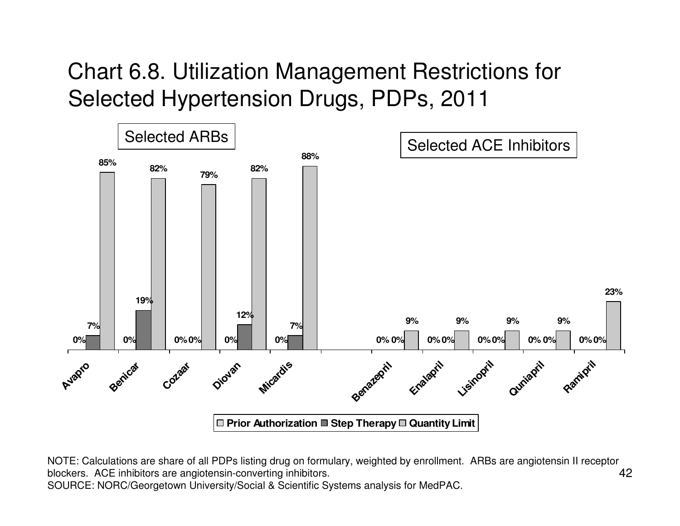Chart 6.8. Utilization Management Restrictions for Selected Hypertension Drugs, PDPs, 2011



42NOTE: Calculations are share of all PDPs listing drug on formulary, weighted by enrollment. ARBs are angiotensin II receptor blockers. ACE inhibitors are angiotensin-converting inhibitors. SOURCE: NORC/Georgetown University/Social & Scientific Systems analysis for MedPAC.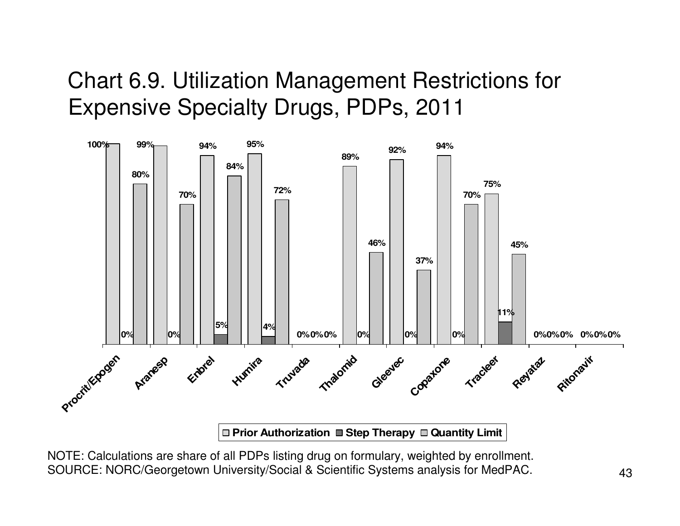#### Chart 6.9. Utilization Management Restrictions for Expensive Specialty Drugs, PDPs, 2011



NOTE: Calculations are share of all PDPs listing drug on formulary, weighted by enrollment. SOURCE: NORC/Georgetown University/Social & Scientific Systems analysis for MedPAC.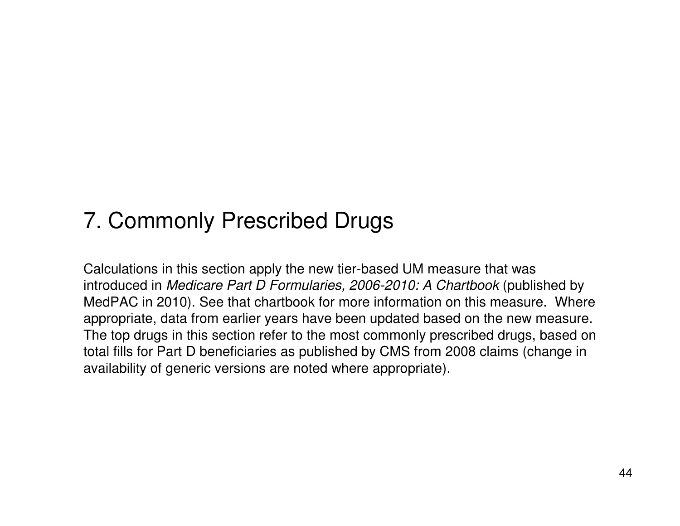### 7. Commonly Prescribed Drugs

Calculations in this section apply the new tier-based UM measure that was introduced in *Medicare Part D Formularies, 2006-2010: A Chartbook* (published by MedPAC in 2010). See that chartbook for more information on this measure. Where appropriate, data from earlier years have been updated based on the new measure. The top drugs in this section refer to the most commonly prescribed drugs, based on total fills for Part D beneficiaries as published by CMS from 2008 claims (change in availability of generic versions are noted where appropriate).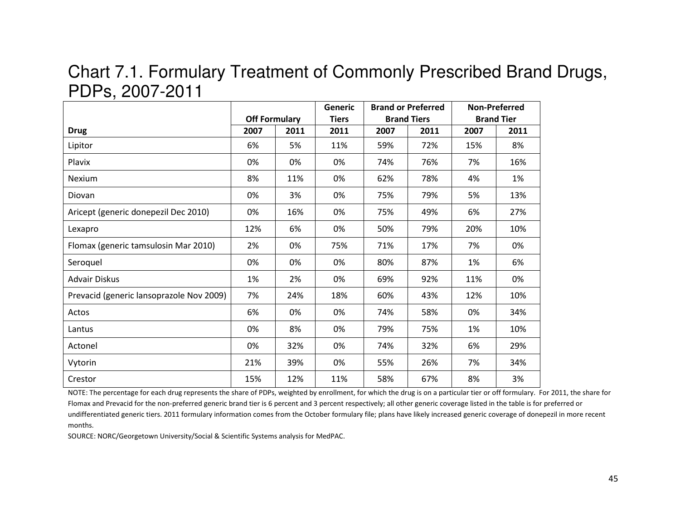# PDPs, 2007-2011

|                                          | <b>Off Formulary</b> |      | Generic<br><b>Tiers</b> |      | <b>Brand or Preferred</b><br><b>Brand Tiers</b> |      | <b>Non-Preferred</b><br><b>Brand Tier</b> |
|------------------------------------------|----------------------|------|-------------------------|------|-------------------------------------------------|------|-------------------------------------------|
| <b>Drug</b>                              | 2007                 | 2011 | 2011                    | 2007 | 2011                                            | 2007 | 2011                                      |
| Lipitor                                  | 6%                   | 5%   | 11%                     | 59%  | 72%                                             | 15%  | 8%                                        |
| Plavix                                   | 0%                   | 0%   | 0%                      | 74%  | 76%                                             | 7%   | 16%                                       |
| Nexium                                   | 8%                   | 11%  | 0%                      | 62%  | 78%                                             | 4%   | 1%                                        |
| Diovan                                   | 0%                   | 3%   | 0%                      | 75%  | 79%                                             | 5%   | 13%                                       |
| Aricept (generic donepezil Dec 2010)     | 0%                   | 16%  | 0%                      | 75%  | 49%                                             | 6%   | 27%                                       |
| Lexapro                                  | 12%                  | 6%   | 0%                      | 50%  | 79%                                             | 20%  | 10%                                       |
| Flomax (generic tamsulosin Mar 2010)     | 2%                   | 0%   | 75%                     | 71%  | 17%                                             | 7%   | 0%                                        |
| Seroquel                                 | 0%                   | 0%   | 0%                      | 80%  | 87%                                             | 1%   | 6%                                        |
| <b>Advair Diskus</b>                     | 1%                   | 2%   | 0%                      | 69%  | 92%                                             | 11%  | 0%                                        |
| Prevacid (generic lansoprazole Nov 2009) | 7%                   | 24%  | 18%                     | 60%  | 43%                                             | 12%  | 10%                                       |
|                                          | 6%                   | 0%   | 0%                      | 74%  | 58%                                             | 0%   | 34%                                       |
| Lantus                                   | 0%                   | 8%   | 0%                      | 79%  | 75%                                             | 1%   | 10%                                       |
| Actonel                                  | 0%                   | 32%  | 0%                      | 74%  | 32%                                             | 6%   | 29%                                       |
| Vytorin                                  | 21%                  | 39%  | 0%                      | 55%  | 26%                                             | 7%   | 34%                                       |
| Crestor                                  | 15%                  | 12%  | 11%                     | 58%  | 67%                                             | 8%   | 3%                                        |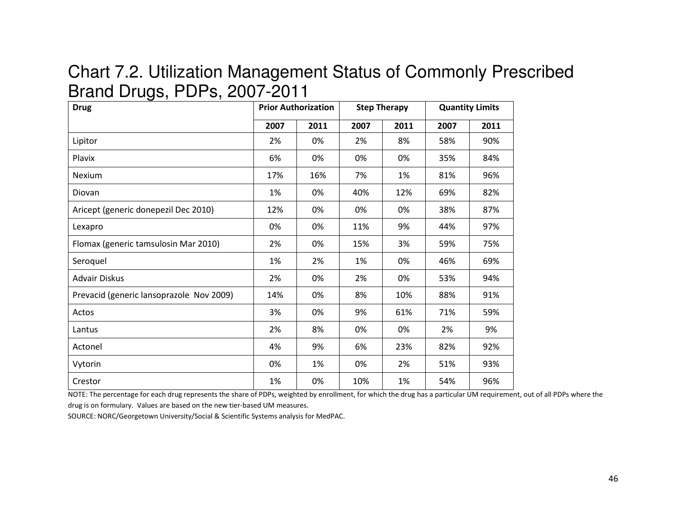#### Chart 7.2. Utilization Management Status of Commonly Prescribed Brand Drugs, PDPs, 2007-2011

| <b>Drug</b>                              |      | <b>Prior Authorization</b> |      | <b>Step Therapy</b> | <b>Quantity Limits</b> |      |  |
|------------------------------------------|------|----------------------------|------|---------------------|------------------------|------|--|
|                                          | 2007 | 2011                       | 2007 | 2011                | 2007                   | 2011 |  |
| Lipitor                                  | 2%   | 0%                         | 2%   | 8%                  | 58%                    | 90%  |  |
| Plavix                                   | 6%   | 0%                         | 0%   | 0%                  | 35%                    | 84%  |  |
| <b>Nexium</b>                            | 17%  | 16%                        | 7%   | 1%                  | 81%                    | 96%  |  |
| Diovan                                   | 1%   | 0%                         | 40%  | 12%                 | 69%                    | 82%  |  |
| Aricept (generic donepezil Dec 2010)     | 12%  | 0%                         | 0%   | 0%                  | 38%                    | 87%  |  |
| Lexapro                                  | 0%   | 0%                         | 11%  | 9%                  | 44%                    | 97%  |  |
| Flomax (generic tamsulosin Mar 2010)     | 2%   | 0%                         | 15%  | 3%                  | 59%                    | 75%  |  |
| Seroquel                                 | 1%   | 2%                         | 1%   | 0%                  | 46%                    | 69%  |  |
| <b>Advair Diskus</b>                     | 2%   | 0%                         | 2%   | 0%                  | 53%                    | 94%  |  |
| Prevacid (generic lansoprazole Nov 2009) | 14%  | 0%                         | 8%   | 10%                 | 88%                    | 91%  |  |
| Actos                                    | 3%   | 0%                         | 9%   | 61%                 | 71%                    | 59%  |  |
| Lantus                                   | 2%   | 8%                         | 0%   | 0%                  | 2%                     | 9%   |  |
| Actonel                                  | 4%   | 9%                         | 6%   | 23%                 | 82%                    | 92%  |  |
| Vytorin                                  | 0%   | 1%                         | 0%   | 2%                  | 51%                    | 93%  |  |
| Crestor                                  | 1%   | 0%                         | 10%  | 1%                  | 54%                    | 96%  |  |

NOTE: The percentage for each drug represents the share of PDPs, weighted by enrollment, for which the drug has a particular UM requirement, out of all PDPs where the drug is on formulary. Values are based on the new tier-based UM measures.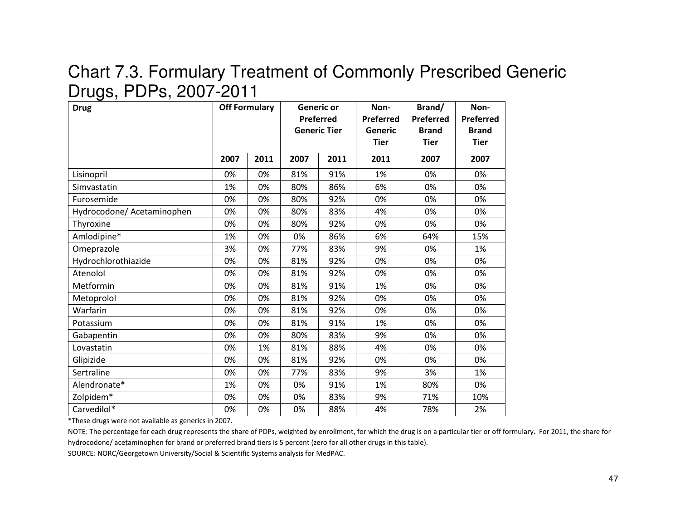#### Chart 7.3. Formulary Treatment of Commonly Prescribed Generic Drugs, PDPs, 2007-2011

| <b>Drug</b>                | <b>Off Formulary</b> |      | <b>Generic or</b><br>Preferred<br><b>Generic Tier</b> |      | Non-<br><b>Preferred</b><br>Generic<br><b>Tier</b> | Brand/<br>Preferred<br><b>Brand</b><br><b>Tier</b> | Non-<br>Preferred<br><b>Brand</b><br><b>Tier</b> |
|----------------------------|----------------------|------|-------------------------------------------------------|------|----------------------------------------------------|----------------------------------------------------|--------------------------------------------------|
|                            | 2007                 | 2011 | 2007                                                  | 2011 | 2011                                               | 2007                                               | 2007                                             |
| Lisinopril                 | 0%                   | 0%   | 81%                                                   | 91%  | 1%                                                 | 0%                                                 | 0%                                               |
| Simvastatin                | 1%                   | 0%   | 80%                                                   | 86%  | 6%                                                 | 0%                                                 | 0%                                               |
| Furosemide                 | 0%                   | 0%   | 80%                                                   | 92%  | 0%                                                 | 0%                                                 | 0%                                               |
| Hydrocodone/ Acetaminophen | 0%                   | 0%   | 80%                                                   | 83%  | 4%                                                 | 0%                                                 | 0%                                               |
| Thyroxine                  | 0%                   | 0%   | 80%                                                   | 92%  | 0%                                                 | 0%                                                 | 0%                                               |
| Amlodipine*                | 1%                   | 0%   | 0%                                                    | 86%  | 6%                                                 | 64%                                                | 15%                                              |
| Omeprazole                 | 3%                   | 0%   | 77%                                                   | 83%  | 9%                                                 | 0%                                                 | 1%                                               |
| Hydrochlorothiazide        | 0%                   | 0%   | 81%                                                   | 92%  | 0%                                                 | 0%                                                 | 0%                                               |
| Atenolol                   | 0%                   | 0%   | 81%                                                   | 92%  | 0%                                                 | 0%                                                 | 0%                                               |
| Metformin                  | 0%                   | 0%   | 81%                                                   | 91%  | 1%                                                 | 0%                                                 | 0%                                               |
| Metoprolol                 | 0%                   | 0%   | 81%                                                   | 92%  | 0%                                                 | 0%                                                 | 0%                                               |
| Warfarin                   | 0%                   | 0%   | 81%                                                   | 92%  | 0%                                                 | 0%                                                 | 0%                                               |
| Potassium                  | 0%                   | 0%   | 81%                                                   | 91%  | 1%                                                 | 0%                                                 | 0%                                               |
| Gabapentin                 | 0%                   | 0%   | 80%                                                   | 83%  | 9%                                                 | 0%                                                 | 0%                                               |
| Lovastatin                 | 0%                   | 1%   | 81%                                                   | 88%  | 4%                                                 | 0%                                                 | 0%                                               |
| Glipizide                  | 0%                   | 0%   | 81%                                                   | 92%  | 0%                                                 | 0%                                                 | 0%                                               |
| Sertraline                 | 0%                   | 0%   | 77%                                                   | 83%  | 9%                                                 | 3%                                                 | 1%                                               |
| Alendronate*               | 1%                   | 0%   | 0%                                                    | 91%  | 1%                                                 | 80%                                                | 0%                                               |
| Zolpidem*                  | 0%                   | 0%   | 0%                                                    | 83%  | 9%                                                 | 71%                                                | 10%                                              |
| Carvedilol*                | 0%                   | 0%   | 0%                                                    | 88%  | 4%                                                 | 78%                                                | 2%                                               |

\*These drugs were not available as generics in 2007.

NOTE: The percentage for each drug represents the share of PDPs, weighted by enrollment, for which the drug is on a particular tier or off formulary. For 2011, the share for hydrocodone/ acetaminophen for brand or preferred brand tiers is 5 percent (zero for all other drugs in this table).